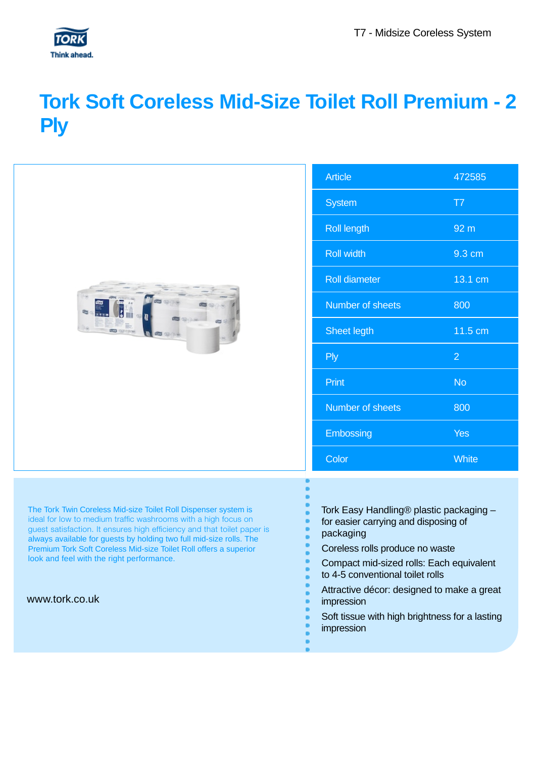

## **Tork Soft Coreless Mid-Size Toilet Roll Premium - 2 Ply**

|                                                                                                                                                                                                                                                                                                                                                                                                       | <b>Article</b>                                                                               | 472585          |
|-------------------------------------------------------------------------------------------------------------------------------------------------------------------------------------------------------------------------------------------------------------------------------------------------------------------------------------------------------------------------------------------------------|----------------------------------------------------------------------------------------------|-----------------|
|                                                                                                                                                                                                                                                                                                                                                                                                       | <b>System</b>                                                                                | T7              |
|                                                                                                                                                                                                                                                                                                                                                                                                       | <b>Roll length</b>                                                                           | 92 <sub>m</sub> |
|                                                                                                                                                                                                                                                                                                                                                                                                       | <b>Roll width</b>                                                                            | 9.3 cm          |
|                                                                                                                                                                                                                                                                                                                                                                                                       | <b>Roll diameter</b>                                                                         | 13.1 cm         |
|                                                                                                                                                                                                                                                                                                                                                                                                       | Number of sheets                                                                             | 800             |
|                                                                                                                                                                                                                                                                                                                                                                                                       | Sheet legth                                                                                  | 11.5 cm         |
|                                                                                                                                                                                                                                                                                                                                                                                                       | <b>Ply</b>                                                                                   | $\overline{2}$  |
|                                                                                                                                                                                                                                                                                                                                                                                                       | Print                                                                                        | <b>No</b>       |
|                                                                                                                                                                                                                                                                                                                                                                                                       | Number of sheets                                                                             | 800             |
|                                                                                                                                                                                                                                                                                                                                                                                                       | Embossing                                                                                    | <b>Yes</b>      |
|                                                                                                                                                                                                                                                                                                                                                                                                       | Color                                                                                        | <b>White</b>    |
|                                                                                                                                                                                                                                                                                                                                                                                                       |                                                                                              |                 |
| The Tork Twin Coreless Mid-size Toilet Roll Dispenser system is<br>ideal for low to medium traffic washrooms with a high focus on<br>guest satisfaction. It ensures high efficiency and that toilet paper is<br>always available for guests by holding two full mid-size rolls. The<br>Premium Tork Soft Coreless Mid-size Toilet Roll offers a superior<br>look and feel with the right performance. | Tork Easy Handling® plastic packaging -<br>for easier carrying and disposing of<br>packaging |                 |
|                                                                                                                                                                                                                                                                                                                                                                                                       | Coreless rolls produce no waste                                                              |                 |
|                                                                                                                                                                                                                                                                                                                                                                                                       | Compact mid-sized rolls: Each equivalent<br>to 4-5 conventional toilet rolls                 |                 |
| www.tork.co.uk                                                                                                                                                                                                                                                                                                                                                                                        | Attractive décor: designed to make a great<br>impression                                     |                 |

- Soft tissue with high brightness for a lasting impression
	-